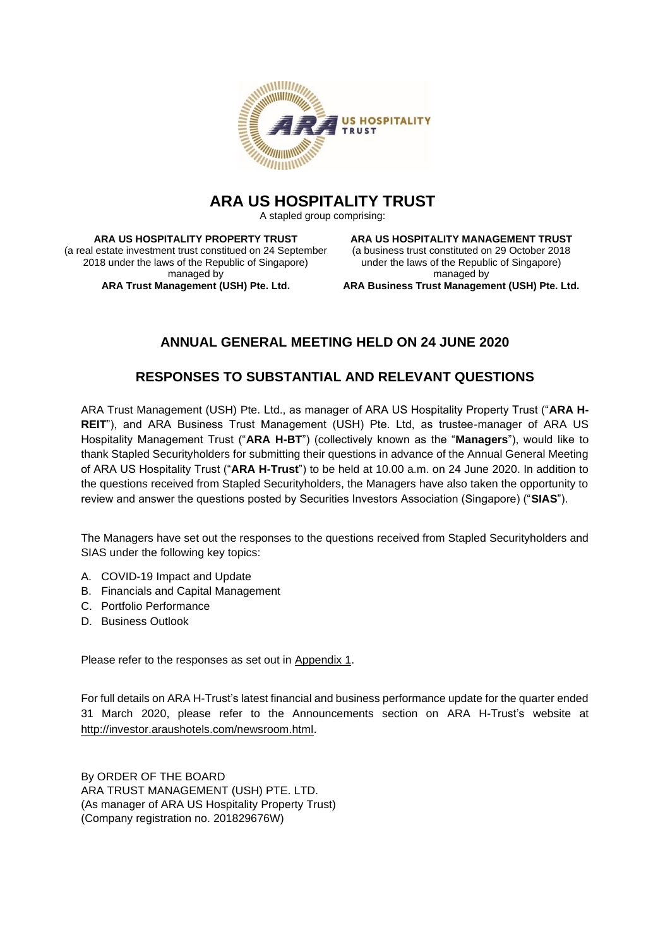

# **ARA US HOSPITALITY TRUST**

A stapled group comprising:

**ARA US HOSPITALITY PROPERTY TRUST** (a real estate investment trust constitued on 24 September 2018 under the laws of the Republic of Singapore) managed by **ARA Trust Management (USH) Pte. Ltd.**

**ARA US HOSPITALITY MANAGEMENT TRUST** (a business trust constituted on 29 October 2018 under the laws of the Republic of Singapore) managed by **ARA Business Trust Management (USH) Pte. Ltd.**

# **ANNUAL GENERAL MEETING HELD ON 24 JUNE 2020**

## **RESPONSES TO SUBSTANTIAL AND RELEVANT QUESTIONS**

ARA Trust Management (USH) Pte. Ltd., as manager of ARA US Hospitality Property Trust ("**ARA H-REIT**"), and ARA Business Trust Management (USH) Pte. Ltd, as trustee-manager of ARA US Hospitality Management Trust ("**ARA H-BT**") (collectively known as the "**Managers**"), would like to thank Stapled Securityholders for submitting their questions in advance of the Annual General Meeting of ARA US Hospitality Trust ("**ARA H-Trust**") to be held at 10.00 a.m. on 24 June 2020. In addition to the questions received from Stapled Securityholders, the Managers have also taken the opportunity to review and answer the questions posted by Securities Investors Association (Singapore) ("**SIAS**").

The Managers have set out the responses to the questions received from Stapled Securityholders and SIAS under the following key topics:

- A. COVID-19 Impact and Update
- B. Financials and Capital Management
- C. Portfolio Performance
- D. Business Outlook

Please refer to the responses as set out in Appendix 1.

For full details on ARA H-Trust's latest financial and business performance update for the quarter ended 31 March 2020, please refer to the Announcements section on ARA H-Trust's website at <http://investor.araushotels.com/newsroom.html>.

By ORDER OF THE BOARD ARA TRUST MANAGEMENT (USH) PTE. LTD. (As manager of ARA US Hospitality Property Trust) (Company registration no. 201829676W)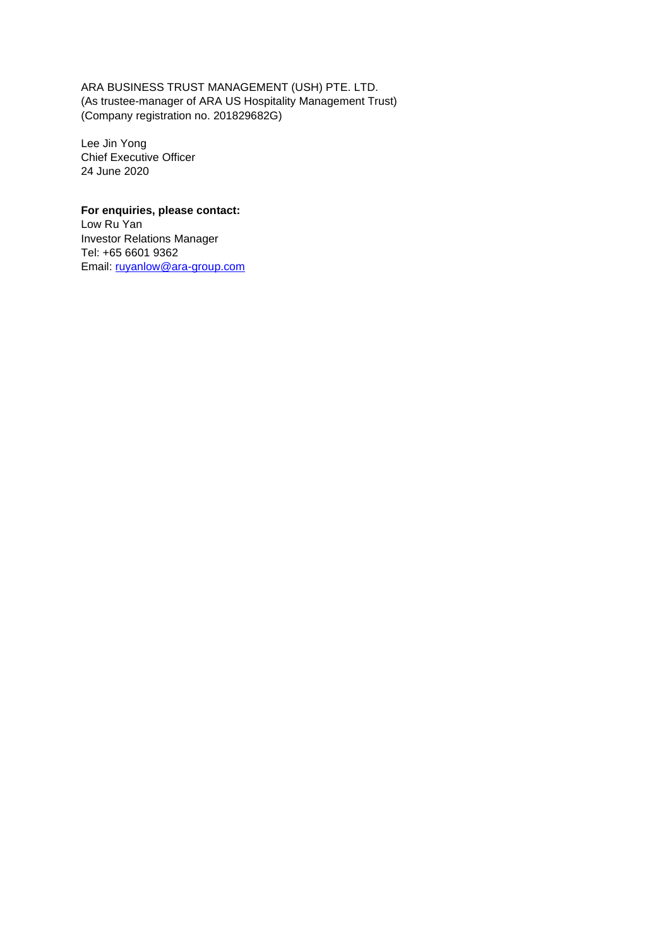ARA BUSINESS TRUST MANAGEMENT (USH) PTE. LTD. (As trustee-manager of ARA US Hospitality Management Trust) (Company registration no. 201829682G)

Lee Jin Yong Chief Executive Officer 24 June 2020

## **For enquiries, please contact:**

Low Ru Yan Investor Relations Manager Tel: +65 6601 9362 Email: [ruyanlow@ara-group.com](mailto:ruyanlow@ara-group.com)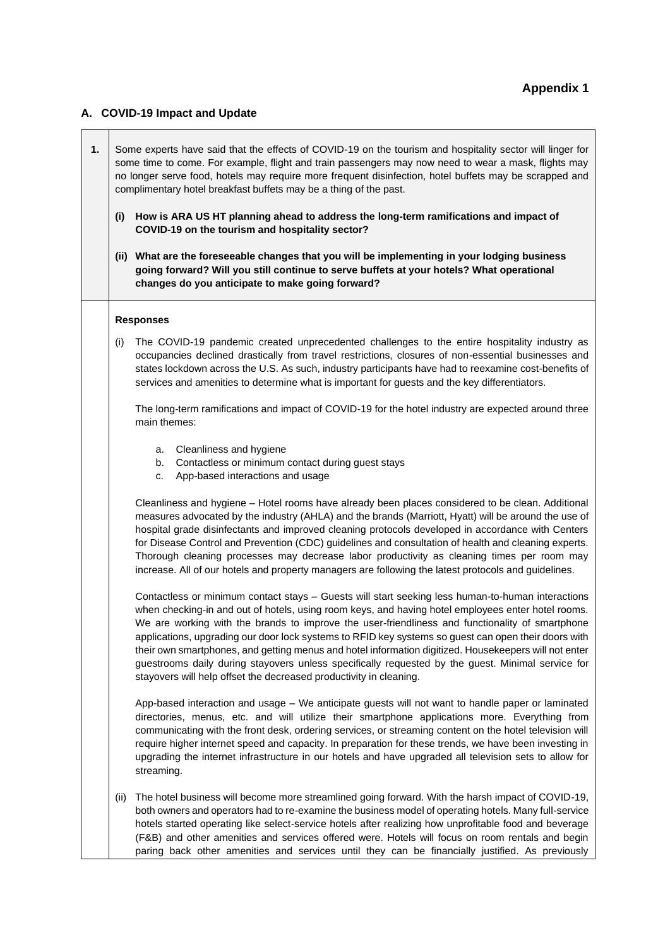#### **A. COVID-19 Impact and Update**

**1.** Some experts have said that the effects of COVID-19 on the tourism and hospitality sector will linger for some time to come. For example, flight and train passengers may now need to wear a mask, flights may no longer serve food, hotels may require more frequent disinfection, hotel buffets may be scrapped and complimentary hotel breakfast buffets may be a thing of the past. **(i) How is ARA US HT planning ahead to address the long-term ramifications and impact of COVID-19 on the tourism and hospitality sector? (ii) What are the foreseeable changes that you will be implementing in your lodging business going forward? Will you still continue to serve buffets at your hotels? What operational changes do you anticipate to make going forward? Responses** (i) The COVID-19 pandemic created unprecedented challenges to the entire hospitality industry as occupancies declined drastically from travel restrictions, closures of non-essential businesses and states lockdown across the U.S. As such, industry participants have had to reexamine cost-benefits of services and amenities to determine what is important for guests and the key differentiators. The long-term ramifications and impact of COVID-19 for the hotel industry are expected around three main themes: a. Cleanliness and hygiene b. Contactless or minimum contact during guest stays c. App-based interactions and usage Cleanliness and hygiene – Hotel rooms have already been places considered to be clean. Additional measures advocated by the industry (AHLA) and the brands (Marriott, Hyatt) will be around the use of hospital grade disinfectants and improved cleaning protocols developed in accordance with Centers for Disease Control and Prevention (CDC) guidelines and consultation of health and cleaning experts. Thorough cleaning processes may decrease labor productivity as cleaning times per room may increase. All of our hotels and property managers are following the latest protocols and guidelines. Contactless or minimum contact stays – Guests will start seeking less human-to-human interactions when checking-in and out of hotels, using room keys, and having hotel employees enter hotel rooms. We are working with the brands to improve the user-friendliness and functionality of smartphone applications, upgrading our door lock systems to RFID key systems so guest can open their doors with their own smartphones, and getting menus and hotel information digitized. Housekeepers will not enter guestrooms daily during stayovers unless specifically requested by the guest. Minimal service for stayovers will help offset the decreased productivity in cleaning. App-based interaction and usage – We anticipate guests will not want to handle paper or laminated directories, menus, etc. and will utilize their smartphone applications more. Everything from communicating with the front desk, ordering services, or streaming content on the hotel television will require higher internet speed and capacity. In preparation for these trends, we have been investing in upgrading the internet infrastructure in our hotels and have upgraded all television sets to allow for streaming. (ii) The hotel business will become more streamlined going forward. With the harsh impact of COVID-19, both owners and operators had to re-examine the business model of operating hotels. Many full-service hotels started operating like select-service hotels after realizing how unprofitable food and beverage (F&B) and other amenities and services offered were. Hotels will focus on room rentals and begin

paring back other amenities and services until they can be financially justified. As previously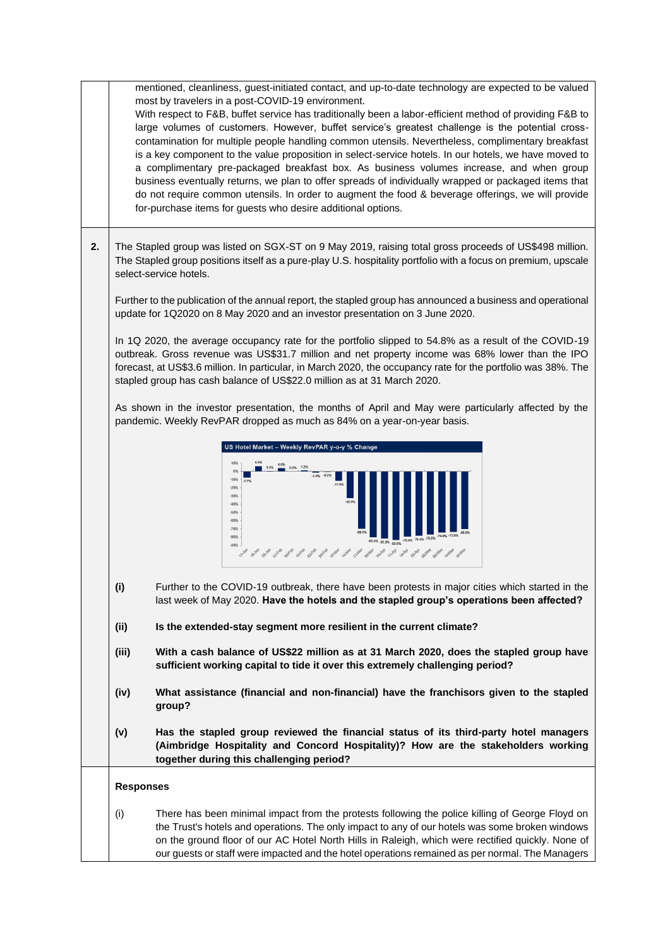mentioned, cleanliness, guest-initiated contact, and up-to-date technology are expected to be valued most by travelers in a post-COVID-19 environment.

With respect to F&B, buffet service has traditionally been a labor-efficient method of providing F&B to large volumes of customers. However, buffet service's greatest challenge is the potential crosscontamination for multiple people handling common utensils. Nevertheless, complimentary breakfast is a key component to the value proposition in select-service hotels. In our hotels, we have moved to a complimentary pre-packaged breakfast box. As business volumes increase, and when group business eventually returns, we plan to offer spreads of individually wrapped or packaged items that do not require common utensils. In order to augment the food & beverage offerings, we will provide for-purchase items for guests who desire additional options.

**2.** The Stapled group was listed on SGX-ST on 9 May 2019, raising total gross proceeds of US\$498 million. The Stapled group positions itself as a pure-play U.S. hospitality portfolio with a focus on premium, upscale select-service hotels.

Further to the publication of the annual report, the stapled group has announced a business and operational update for 1Q2020 on 8 May 2020 and an investor presentation on 3 June 2020.

In 1Q 2020, the average occupancy rate for the portfolio slipped to 54.8% as a result of the COVID-19 outbreak. Gross revenue was US\$31.7 million and net property income was 68% lower than the IPO forecast, at US\$3.6 million. In particular, in March 2020, the occupancy rate for the portfolio was 38%. The stapled group has cash balance of US\$22.0 million as at 31 March 2020.

As shown in the investor presentation, the months of April and May were particularly affected by the pandemic. Weekly RevPAR dropped as much as 84% on a year-on-year basis.



- **(i)** Further to the COVID-19 outbreak, there have been protests in major cities which started in the last week of May 2020. **Have the hotels and the stapled group's operations been affected?**
- **(ii) Is the extended-stay segment more resilient in the current climate?**
- **(iii) With a cash balance of US\$22 million as at 31 March 2020, does the stapled group have sufficient working capital to tide it over this extremely challenging period?**
- **(iv) What assistance (financial and non-financial) have the franchisors given to the stapled group?**
- **(v) Has the stapled group reviewed the financial status of its third-party hotel managers (Aimbridge Hospitality and Concord Hospitality)? How are the stakeholders working together during this challenging period?**

#### **Responses**

(i) There has been minimal impact from the protests following the police killing of George Floyd on the Trust's hotels and operations. The only impact to any of our hotels was some broken windows on the ground floor of our AC Hotel North Hills in Raleigh, which were rectified quickly. None of our guests or staff were impacted and the hotel operations remained as per normal. The Managers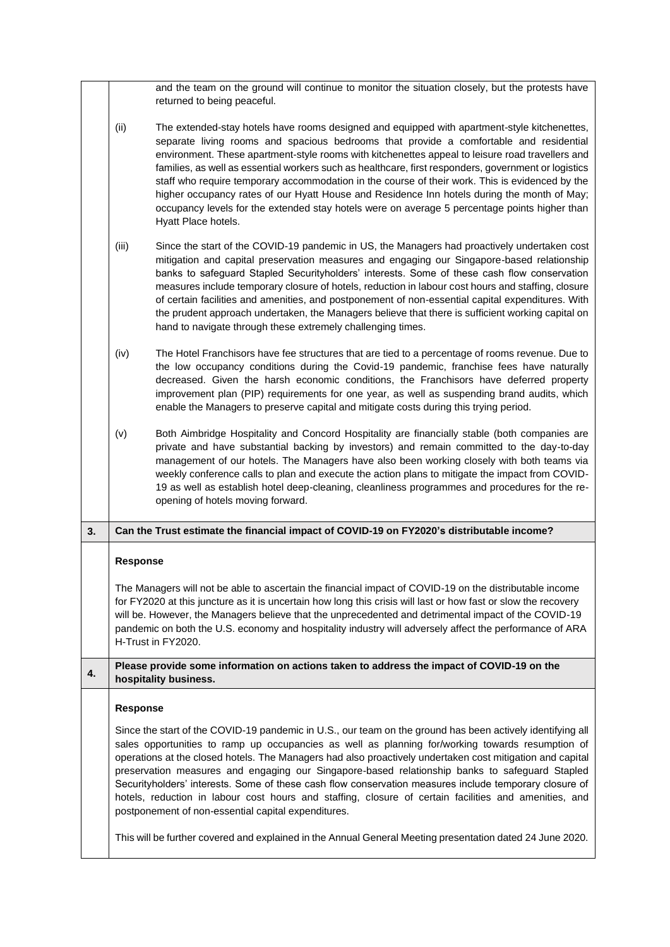|    |                                                                                                                                                                                                                                                                                                                                                                                                                                                                                                                                                                                                                                                                                                         | and the team on the ground will continue to monitor the situation closely, but the protests have<br>returned to being peaceful.                                                                                                                                                                                                                                                                                                                                                                                                                                                                                                                                                                                              |  |  |
|----|---------------------------------------------------------------------------------------------------------------------------------------------------------------------------------------------------------------------------------------------------------------------------------------------------------------------------------------------------------------------------------------------------------------------------------------------------------------------------------------------------------------------------------------------------------------------------------------------------------------------------------------------------------------------------------------------------------|------------------------------------------------------------------------------------------------------------------------------------------------------------------------------------------------------------------------------------------------------------------------------------------------------------------------------------------------------------------------------------------------------------------------------------------------------------------------------------------------------------------------------------------------------------------------------------------------------------------------------------------------------------------------------------------------------------------------------|--|--|
|    | (ii)                                                                                                                                                                                                                                                                                                                                                                                                                                                                                                                                                                                                                                                                                                    | The extended-stay hotels have rooms designed and equipped with apartment-style kitchenettes,<br>separate living rooms and spacious bedrooms that provide a comfortable and residential<br>environment. These apartment-style rooms with kitchenettes appeal to leisure road travellers and<br>families, as well as essential workers such as healthcare, first responders, government or logistics<br>staff who require temporary accommodation in the course of their work. This is evidenced by the<br>higher occupancy rates of our Hyatt House and Residence Inn hotels during the month of May;<br>occupancy levels for the extended stay hotels were on average 5 percentage points higher than<br>Hyatt Place hotels. |  |  |
|    | (iii)                                                                                                                                                                                                                                                                                                                                                                                                                                                                                                                                                                                                                                                                                                   | Since the start of the COVID-19 pandemic in US, the Managers had proactively undertaken cost<br>mitigation and capital preservation measures and engaging our Singapore-based relationship<br>banks to safeguard Stapled Securityholders' interests. Some of these cash flow conservation<br>measures include temporary closure of hotels, reduction in labour cost hours and staffing, closure<br>of certain facilities and amenities, and postponement of non-essential capital expenditures. With<br>the prudent approach undertaken, the Managers believe that there is sufficient working capital on<br>hand to navigate through these extremely challenging times.                                                     |  |  |
|    | (iv)                                                                                                                                                                                                                                                                                                                                                                                                                                                                                                                                                                                                                                                                                                    | The Hotel Franchisors have fee structures that are tied to a percentage of rooms revenue. Due to<br>the low occupancy conditions during the Covid-19 pandemic, franchise fees have naturally<br>decreased. Given the harsh economic conditions, the Franchisors have deferred property<br>improvement plan (PIP) requirements for one year, as well as suspending brand audits, which<br>enable the Managers to preserve capital and mitigate costs during this trying period.                                                                                                                                                                                                                                               |  |  |
|    | (v)                                                                                                                                                                                                                                                                                                                                                                                                                                                                                                                                                                                                                                                                                                     | Both Aimbridge Hospitality and Concord Hospitality are financially stable (both companies are<br>private and have substantial backing by investors) and remain committed to the day-to-day<br>management of our hotels. The Managers have also been working closely with both teams via<br>weekly conference calls to plan and execute the action plans to mitigate the impact from COVID-<br>19 as well as establish hotel deep-cleaning, cleanliness programmes and procedures for the re-<br>opening of hotels moving forward.                                                                                                                                                                                            |  |  |
| 3. |                                                                                                                                                                                                                                                                                                                                                                                                                                                                                                                                                                                                                                                                                                         | Can the Trust estimate the financial impact of COVID-19 on FY2020's distributable income?                                                                                                                                                                                                                                                                                                                                                                                                                                                                                                                                                                                                                                    |  |  |
|    | Response                                                                                                                                                                                                                                                                                                                                                                                                                                                                                                                                                                                                                                                                                                |                                                                                                                                                                                                                                                                                                                                                                                                                                                                                                                                                                                                                                                                                                                              |  |  |
|    | The Managers will not be able to ascertain the financial impact of COVID-19 on the distributable income<br>for FY2020 at this juncture as it is uncertain how long this crisis will last or how fast or slow the recovery<br>will be. However, the Managers believe that the unprecedented and detrimental impact of the COVID-19<br>pandemic on both the U.S. economy and hospitality industry will adversely affect the performance of ARA<br>H-Trust in FY2020.                                                                                                                                                                                                                                      |                                                                                                                                                                                                                                                                                                                                                                                                                                                                                                                                                                                                                                                                                                                              |  |  |
| 4. | Please provide some information on actions taken to address the impact of COVID-19 on the<br>hospitality business.                                                                                                                                                                                                                                                                                                                                                                                                                                                                                                                                                                                      |                                                                                                                                                                                                                                                                                                                                                                                                                                                                                                                                                                                                                                                                                                                              |  |  |
|    | <b>Response</b>                                                                                                                                                                                                                                                                                                                                                                                                                                                                                                                                                                                                                                                                                         |                                                                                                                                                                                                                                                                                                                                                                                                                                                                                                                                                                                                                                                                                                                              |  |  |
|    | Since the start of the COVID-19 pandemic in U.S., our team on the ground has been actively identifying all<br>sales opportunities to ramp up occupancies as well as planning for/working towards resumption of<br>operations at the closed hotels. The Managers had also proactively undertaken cost mitigation and capital<br>preservation measures and engaging our Singapore-based relationship banks to safeguard Stapled<br>Securityholders' interests. Some of these cash flow conservation measures include temporary closure of<br>hotels, reduction in labour cost hours and staffing, closure of certain facilities and amenities, and<br>postponement of non-essential capital expenditures. |                                                                                                                                                                                                                                                                                                                                                                                                                                                                                                                                                                                                                                                                                                                              |  |  |
|    | This will be further covered and explained in the Annual General Meeting presentation dated 24 June 2020.                                                                                                                                                                                                                                                                                                                                                                                                                                                                                                                                                                                               |                                                                                                                                                                                                                                                                                                                                                                                                                                                                                                                                                                                                                                                                                                                              |  |  |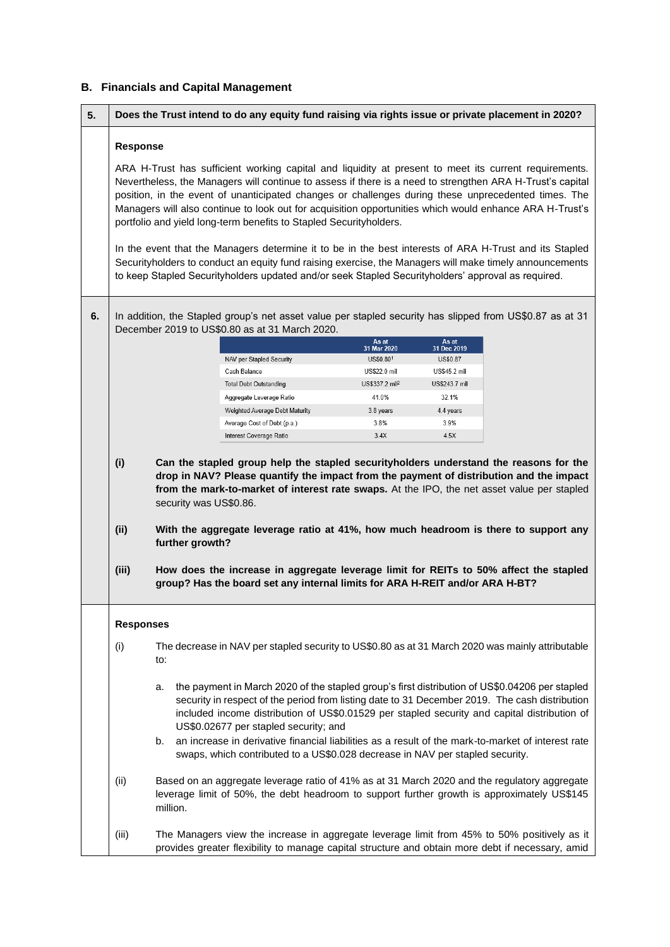## **B. Financials and Capital Management**

| 5.                                                                                                                                                                                                              | Does the Trust intend to do any equity fund raising via rights issue or private placement in 2020?                                                                                                                                                                                                                                                                                                                                                                                                                                                                                                                                                                                                                                                                                                                                    |  |                                                                                                                                                                                                 |                            |               |  |
|-----------------------------------------------------------------------------------------------------------------------------------------------------------------------------------------------------------------|---------------------------------------------------------------------------------------------------------------------------------------------------------------------------------------------------------------------------------------------------------------------------------------------------------------------------------------------------------------------------------------------------------------------------------------------------------------------------------------------------------------------------------------------------------------------------------------------------------------------------------------------------------------------------------------------------------------------------------------------------------------------------------------------------------------------------------------|--|-------------------------------------------------------------------------------------------------------------------------------------------------------------------------------------------------|----------------------------|---------------|--|
|                                                                                                                                                                                                                 | <b>Response</b>                                                                                                                                                                                                                                                                                                                                                                                                                                                                                                                                                                                                                                                                                                                                                                                                                       |  |                                                                                                                                                                                                 |                            |               |  |
|                                                                                                                                                                                                                 | ARA H-Trust has sufficient working capital and liquidity at present to meet its current requirements.<br>Nevertheless, the Managers will continue to assess if there is a need to strengthen ARA H-Trust's capital<br>position, in the event of unanticipated changes or challenges during these unprecedented times. The<br>Managers will also continue to look out for acquisition opportunities which would enhance ARA H-Trust's<br>portfolio and yield long-term benefits to Stapled Securityholders.<br>In the event that the Managers determine it to be in the best interests of ARA H-Trust and its Stapled<br>Securityholders to conduct an equity fund raising exercise, the Managers will make timely announcements<br>to keep Stapled Securityholders updated and/or seek Stapled Securityholders' approval as required. |  |                                                                                                                                                                                                 |                            |               |  |
|                                                                                                                                                                                                                 |                                                                                                                                                                                                                                                                                                                                                                                                                                                                                                                                                                                                                                                                                                                                                                                                                                       |  |                                                                                                                                                                                                 |                            |               |  |
| 6.                                                                                                                                                                                                              | In addition, the Stapled group's net asset value per stapled security has slipped from US\$0.87 as at 31<br>December 2019 to US\$0.80 as at 31 March 2020.                                                                                                                                                                                                                                                                                                                                                                                                                                                                                                                                                                                                                                                                            |  |                                                                                                                                                                                                 |                            |               |  |
|                                                                                                                                                                                                                 |                                                                                                                                                                                                                                                                                                                                                                                                                                                                                                                                                                                                                                                                                                                                                                                                                                       |  |                                                                                                                                                                                                 | As at                      | As at         |  |
|                                                                                                                                                                                                                 |                                                                                                                                                                                                                                                                                                                                                                                                                                                                                                                                                                                                                                                                                                                                                                                                                                       |  |                                                                                                                                                                                                 | 31 Mar 2020                | 31 Dec 2019   |  |
|                                                                                                                                                                                                                 |                                                                                                                                                                                                                                                                                                                                                                                                                                                                                                                                                                                                                                                                                                                                                                                                                                       |  | NAV per Stapled Security<br>Cash Balance                                                                                                                                                        | US\$0.801<br>US\$22.0 mil  | US\$0.87      |  |
|                                                                                                                                                                                                                 |                                                                                                                                                                                                                                                                                                                                                                                                                                                                                                                                                                                                                                                                                                                                                                                                                                       |  |                                                                                                                                                                                                 |                            | US\$45.2 mil  |  |
|                                                                                                                                                                                                                 |                                                                                                                                                                                                                                                                                                                                                                                                                                                                                                                                                                                                                                                                                                                                                                                                                                       |  | <b>Total Debt Outstanding</b>                                                                                                                                                                   | US\$337.2 mil <sup>2</sup> | US\$243.7 mil |  |
|                                                                                                                                                                                                                 |                                                                                                                                                                                                                                                                                                                                                                                                                                                                                                                                                                                                                                                                                                                                                                                                                                       |  | Aggregate Leverage Ratio                                                                                                                                                                        | 41.0%                      | 32.1%         |  |
|                                                                                                                                                                                                                 |                                                                                                                                                                                                                                                                                                                                                                                                                                                                                                                                                                                                                                                                                                                                                                                                                                       |  | Weighted Average Debt Maturity                                                                                                                                                                  | 3.8 years                  | 4.4 years     |  |
|                                                                                                                                                                                                                 |                                                                                                                                                                                                                                                                                                                                                                                                                                                                                                                                                                                                                                                                                                                                                                                                                                       |  | Average Cost of Debt (p.a.)                                                                                                                                                                     | 3.8%                       | 3.9%          |  |
|                                                                                                                                                                                                                 |                                                                                                                                                                                                                                                                                                                                                                                                                                                                                                                                                                                                                                                                                                                                                                                                                                       |  | Interest Coverage Ratio                                                                                                                                                                         | 3.4X                       | 4.5X          |  |
|                                                                                                                                                                                                                 | from the mark-to-market of interest rate swaps. At the IPO, the net asset value per stapled<br>security was US\$0.86.<br>(ii)<br>With the aggregate leverage ratio at 41%, how much headroom is there to support any<br>further growth?                                                                                                                                                                                                                                                                                                                                                                                                                                                                                                                                                                                               |  |                                                                                                                                                                                                 |                            |               |  |
|                                                                                                                                                                                                                 | (iii)<br>How does the increase in aggregate leverage limit for REITs to 50% affect the stapled<br>group? Has the board set any internal limits for ARA H-REIT and/or ARA H-BT?                                                                                                                                                                                                                                                                                                                                                                                                                                                                                                                                                                                                                                                        |  |                                                                                                                                                                                                 |                            |               |  |
|                                                                                                                                                                                                                 | <b>Responses</b><br>The decrease in NAV per stapled security to US\$0.80 as at 31 March 2020 was mainly attributable<br>(i)<br>to:<br>the payment in March 2020 of the stapled group's first distribution of US\$0.04206 per stapled<br>a.<br>security in respect of the period from listing date to 31 December 2019. The cash distribution<br>included income distribution of US\$0.01529 per stapled security and capital distribution of<br>US\$0.02677 per stapled security; and                                                                                                                                                                                                                                                                                                                                                 |  |                                                                                                                                                                                                 |                            |               |  |
|                                                                                                                                                                                                                 |                                                                                                                                                                                                                                                                                                                                                                                                                                                                                                                                                                                                                                                                                                                                                                                                                                       |  |                                                                                                                                                                                                 |                            |               |  |
|                                                                                                                                                                                                                 |                                                                                                                                                                                                                                                                                                                                                                                                                                                                                                                                                                                                                                                                                                                                                                                                                                       |  |                                                                                                                                                                                                 |                            |               |  |
| an increase in derivative financial liabilities as a result of the mark-to-market of interest rate<br>b.<br>swaps, which contributed to a US\$0.028 decrease in NAV per stapled security.                       |                                                                                                                                                                                                                                                                                                                                                                                                                                                                                                                                                                                                                                                                                                                                                                                                                                       |  |                                                                                                                                                                                                 |                            |               |  |
| Based on an aggregate leverage ratio of 41% as at 31 March 2020 and the regulatory aggregate<br>(ii)<br>leverage limit of 50%, the debt headroom to support further growth is approximately US\$145<br>million. |                                                                                                                                                                                                                                                                                                                                                                                                                                                                                                                                                                                                                                                                                                                                                                                                                                       |  |                                                                                                                                                                                                 |                            |               |  |
|                                                                                                                                                                                                                 | (iii)                                                                                                                                                                                                                                                                                                                                                                                                                                                                                                                                                                                                                                                                                                                                                                                                                                 |  | The Managers view the increase in aggregate leverage limit from 45% to 50% positively as it<br>provides greater flexibility to manage capital structure and obtain more debt if necessary, amid |                            |               |  |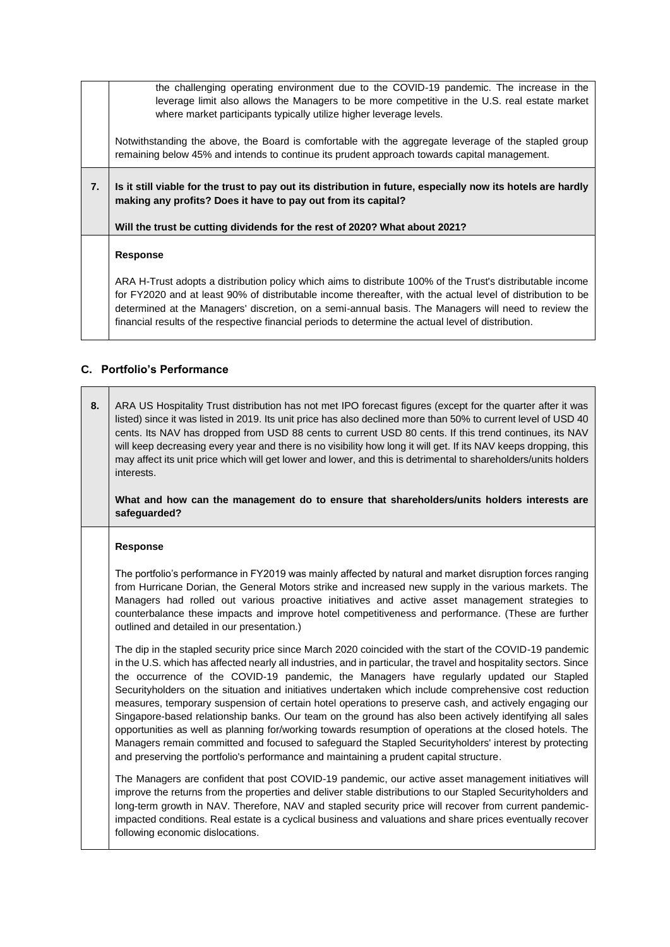the challenging operating environment due to the COVID-19 pandemic. The increase in the leverage limit also allows the Managers to be more competitive in the U.S. real estate market where market participants typically utilize higher leverage levels.

Notwithstanding the above, the Board is comfortable with the aggregate leverage of the stapled group remaining below 45% and intends to continue its prudent approach towards capital management.

**7. Is it still viable for the trust to pay out its distribution in future, especially now its hotels are hardly making any profits? Does it have to pay out from its capital?**

**Will the trust be cutting dividends for the rest of 2020? What about 2021?**

#### **Response**

ARA H-Trust adopts a distribution policy which aims to distribute 100% of the Trust's distributable income for FY2020 and at least 90% of distributable income thereafter, with the actual level of distribution to be determined at the Managers' discretion, on a semi-annual basis. The Managers will need to review the financial results of the respective financial periods to determine the actual level of distribution.

### **C. Portfolio's Performance**

**8.** ARA US Hospitality Trust distribution has not met IPO forecast figures (except for the quarter after it was listed) since it was listed in 2019. Its unit price has also declined more than 50% to current level of USD 40 cents. Its NAV has dropped from USD 88 cents to current USD 80 cents. If this trend continues, its NAV will keep decreasing every year and there is no visibility how long it will get. If its NAV keeps dropping, this may affect its unit price which will get lower and lower, and this is detrimental to shareholders/units holders interests.

**What and how can the management do to ensure that shareholders/units holders interests are safeguarded?**

#### **Response**

The portfolio's performance in FY2019 was mainly affected by natural and market disruption forces ranging from Hurricane Dorian, the General Motors strike and increased new supply in the various markets. The Managers had rolled out various proactive initiatives and active asset management strategies to counterbalance these impacts and improve hotel competitiveness and performance. (These are further outlined and detailed in our presentation.)

The dip in the stapled security price since March 2020 coincided with the start of the COVID-19 pandemic in the U.S. which has affected nearly all industries, and in particular, the travel and hospitality sectors. Since the occurrence of the COVID-19 pandemic, the Managers have regularly updated our Stapled Securityholders on the situation and initiatives undertaken which include comprehensive cost reduction measures, temporary suspension of certain hotel operations to preserve cash, and actively engaging our Singapore-based relationship banks. Our team on the ground has also been actively identifying all sales opportunities as well as planning for/working towards resumption of operations at the closed hotels. The Managers remain committed and focused to safeguard the Stapled Securityholders' interest by protecting and preserving the portfolio's performance and maintaining a prudent capital structure.

The Managers are confident that post COVID-19 pandemic, our active asset management initiatives will improve the returns from the properties and deliver stable distributions to our Stapled Securityholders and long-term growth in NAV. Therefore, NAV and stapled security price will recover from current pandemicimpacted conditions. Real estate is a cyclical business and valuations and share prices eventually recover following economic dislocations.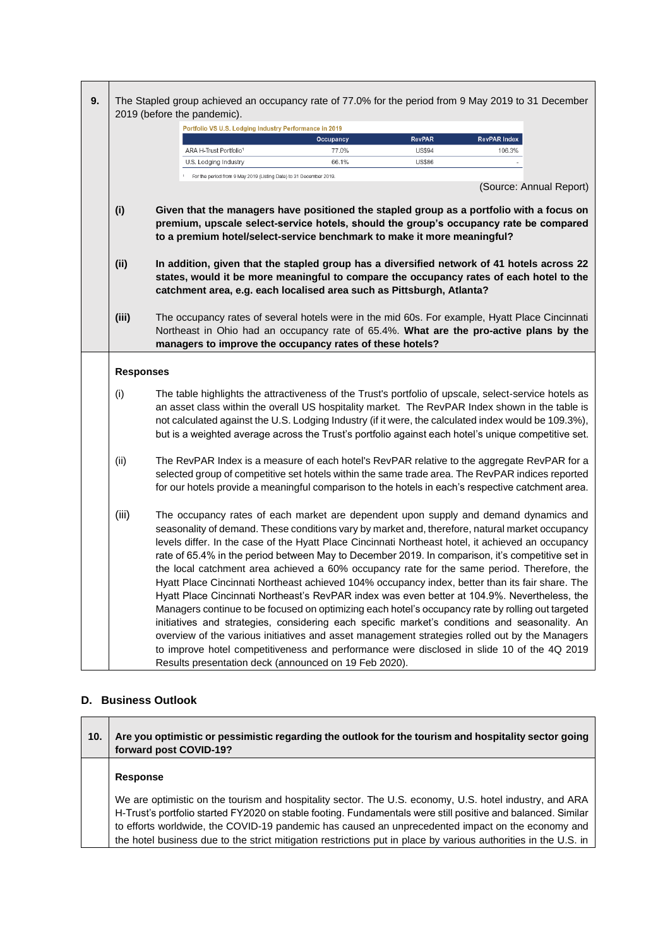| 9. | The Stapled group achieved an occupancy rate of 77.0% for the period from 9 May 2019 to 31 December<br>2019 (before the pandemic). |                                                                                                   |           |               |                                                                                                                                                                                                                                                                                                                                                                                                                                                                                                                                                                                                                                                                                                                                                                                                                                                                                                                                                                                                                                                                                                          |
|----|------------------------------------------------------------------------------------------------------------------------------------|---------------------------------------------------------------------------------------------------|-----------|---------------|----------------------------------------------------------------------------------------------------------------------------------------------------------------------------------------------------------------------------------------------------------------------------------------------------------------------------------------------------------------------------------------------------------------------------------------------------------------------------------------------------------------------------------------------------------------------------------------------------------------------------------------------------------------------------------------------------------------------------------------------------------------------------------------------------------------------------------------------------------------------------------------------------------------------------------------------------------------------------------------------------------------------------------------------------------------------------------------------------------|
|    |                                                                                                                                    | Portfolio VS U.S. Lodging Industry Performance in 2019                                            |           |               |                                                                                                                                                                                                                                                                                                                                                                                                                                                                                                                                                                                                                                                                                                                                                                                                                                                                                                                                                                                                                                                                                                          |
|    |                                                                                                                                    |                                                                                                   | Occupancy | <b>RevPAR</b> | <b>RevPAR Index</b>                                                                                                                                                                                                                                                                                                                                                                                                                                                                                                                                                                                                                                                                                                                                                                                                                                                                                                                                                                                                                                                                                      |
|    |                                                                                                                                    | ARA H-Trust Portfolio <sup>1</sup>                                                                | 77.0%     | <b>US\$94</b> | 106.3%                                                                                                                                                                                                                                                                                                                                                                                                                                                                                                                                                                                                                                                                                                                                                                                                                                                                                                                                                                                                                                                                                                   |
|    |                                                                                                                                    | U.S. Lodging Industry                                                                             | 66.1%     | <b>US\$86</b> |                                                                                                                                                                                                                                                                                                                                                                                                                                                                                                                                                                                                                                                                                                                                                                                                                                                                                                                                                                                                                                                                                                          |
|    |                                                                                                                                    | <sup>1</sup> For the period from 9 May 2019 (Listing Date) to 31 December 2019.                   |           |               | (Source: Annual Report)                                                                                                                                                                                                                                                                                                                                                                                                                                                                                                                                                                                                                                                                                                                                                                                                                                                                                                                                                                                                                                                                                  |
|    | (i)                                                                                                                                | to a premium hotel/select-service benchmark to make it more meaningful?                           |           |               | Given that the managers have positioned the stapled group as a portfolio with a focus on<br>premium, upscale select-service hotels, should the group's occupancy rate be compared                                                                                                                                                                                                                                                                                                                                                                                                                                                                                                                                                                                                                                                                                                                                                                                                                                                                                                                        |
|    | (i)                                                                                                                                | catchment area, e.g. each localised area such as Pittsburgh, Atlanta?                             |           |               | In addition, given that the stapled group has a diversified network of 41 hotels across 22<br>states, would it be more meaningful to compare the occupancy rates of each hotel to the                                                                                                                                                                                                                                                                                                                                                                                                                                                                                                                                                                                                                                                                                                                                                                                                                                                                                                                    |
|    | (iii)                                                                                                                              | managers to improve the occupancy rates of these hotels?                                          |           |               | The occupancy rates of several hotels were in the mid 60s. For example, Hyatt Place Cincinnati<br>Northeast in Ohio had an occupancy rate of 65.4%. What are the pro-active plans by the                                                                                                                                                                                                                                                                                                                                                                                                                                                                                                                                                                                                                                                                                                                                                                                                                                                                                                                 |
|    | <b>Responses</b>                                                                                                                   |                                                                                                   |           |               |                                                                                                                                                                                                                                                                                                                                                                                                                                                                                                                                                                                                                                                                                                                                                                                                                                                                                                                                                                                                                                                                                                          |
|    | (i)                                                                                                                                |                                                                                                   |           |               | The table highlights the attractiveness of the Trust's portfolio of upscale, select-service hotels as<br>an asset class within the overall US hospitality market. The RevPAR Index shown in the table is<br>not calculated against the U.S. Lodging Industry (if it were, the calculated index would be 109.3%),<br>but is a weighted average across the Trust's portfolio against each hotel's unique competitive set.                                                                                                                                                                                                                                                                                                                                                                                                                                                                                                                                                                                                                                                                                  |
|    | (ii)                                                                                                                               | for our hotels provide a meaningful comparison to the hotels in each's respective catchment area. |           |               | The RevPAR Index is a measure of each hotel's RevPAR relative to the aggregate RevPAR for a<br>selected group of competitive set hotels within the same trade area. The RevPAR indices reported                                                                                                                                                                                                                                                                                                                                                                                                                                                                                                                                                                                                                                                                                                                                                                                                                                                                                                          |
|    | (iii)                                                                                                                              | Results presentation deck (announced on 19 Feb 2020).                                             |           |               | The occupancy rates of each market are dependent upon supply and demand dynamics and<br>seasonality of demand. These conditions vary by market and, therefore, natural market occupancy<br>levels differ. In the case of the Hyatt Place Cincinnati Northeast hotel, it achieved an occupancy<br>rate of 65.4% in the period between May to December 2019. In comparison, it's competitive set in<br>the local catchment area achieved a 60% occupancy rate for the same period. Therefore, the<br>Hyatt Place Cincinnati Northeast achieved 104% occupancy index, better than its fair share. The<br>Hyatt Place Cincinnati Northeast's RevPAR index was even better at 104.9%. Nevertheless, the<br>Managers continue to be focused on optimizing each hotel's occupancy rate by rolling out targeted<br>initiatives and strategies, considering each specific market's conditions and seasonality. An<br>overview of the various initiatives and asset management strategies rolled out by the Managers<br>to improve hotel competitiveness and performance were disclosed in slide 10 of the 4Q 2019 |

## **D. Business Outlook**

 $\overline{\phantom{a}}$ 

r.

 $\overline{\phantom{a}}$ 

| 10. | Are you optimistic or pessimistic regarding the outlook for the tourism and hospitality sector going<br>forward post COVID-19?                                                                                                                                                                                                                                                                                                                  |  |
|-----|-------------------------------------------------------------------------------------------------------------------------------------------------------------------------------------------------------------------------------------------------------------------------------------------------------------------------------------------------------------------------------------------------------------------------------------------------|--|
|     | Response                                                                                                                                                                                                                                                                                                                                                                                                                                        |  |
|     | We are optimistic on the tourism and hospitality sector. The U.S. economy, U.S. hotel industry, and ARA<br>H-Trust's portfolio started FY2020 on stable footing. Fundamentals were still positive and balanced. Similar<br>to efforts worldwide, the COVID-19 pandemic has caused an unprecedented impact on the economy and<br>the hotel business due to the strict mitigation restrictions put in place by various authorities in the U.S. in |  |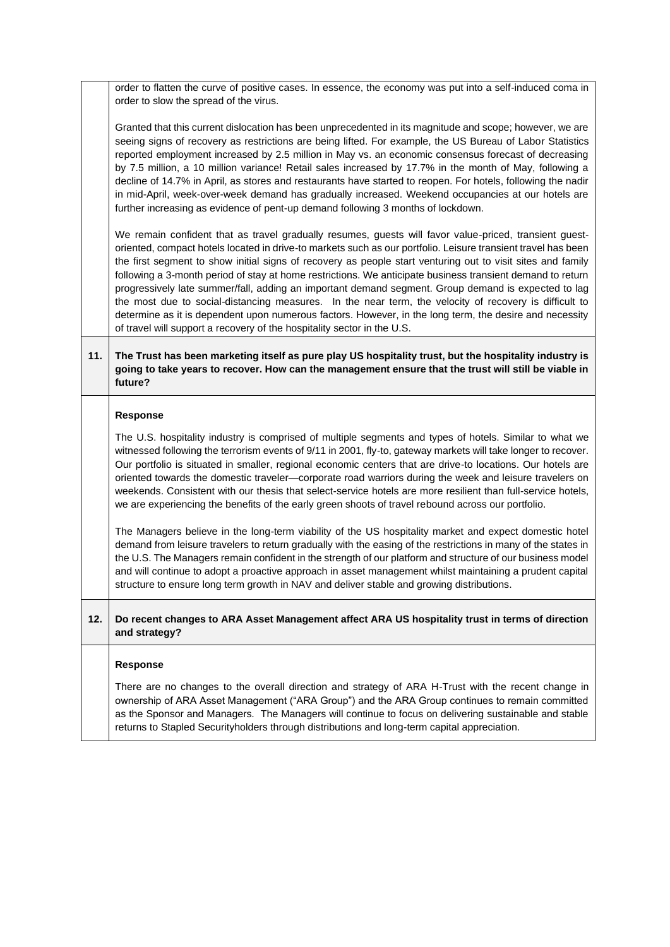order to flatten the curve of positive cases. In essence, the economy was put into a self-induced coma in order to slow the spread of the virus.

Granted that this current dislocation has been unprecedented in its magnitude and scope; however, we are seeing signs of recovery as restrictions are being lifted. For example, the US Bureau of Labor Statistics reported employment increased by 2.5 million in May vs. an economic consensus forecast of decreasing by 7.5 million, a 10 million variance! Retail sales increased by 17.7% in the month of May, following a decline of 14.7% in April, as stores and restaurants have started to reopen. For hotels, following the nadir in mid-April, week-over-week demand has gradually increased. Weekend occupancies at our hotels are further increasing as evidence of pent-up demand following 3 months of lockdown.

We remain confident that as travel gradually resumes, guests will favor value-priced, transient guestoriented, compact hotels located in drive-to markets such as our portfolio. Leisure transient travel has been the first segment to show initial signs of recovery as people start venturing out to visit sites and family following a 3-month period of stay at home restrictions. We anticipate business transient demand to return progressively late summer/fall, adding an important demand segment. Group demand is expected to lag the most due to social-distancing measures. In the near term, the velocity of recovery is difficult to determine as it is dependent upon numerous factors. However, in the long term, the desire and necessity of travel will support a recovery of the hospitality sector in the U.S.

### **11. The Trust has been marketing itself as pure play US hospitality trust, but the hospitality industry is going to take years to recover. How can the management ensure that the trust will still be viable in future?**

#### **Response**

The U.S. hospitality industry is comprised of multiple segments and types of hotels. Similar to what we witnessed following the terrorism events of 9/11 in 2001, fly-to, gateway markets will take longer to recover. Our portfolio is situated in smaller, regional economic centers that are drive-to locations. Our hotels are oriented towards the domestic traveler—corporate road warriors during the week and leisure travelers on weekends. Consistent with our thesis that select-service hotels are more resilient than full-service hotels, we are experiencing the benefits of the early green shoots of travel rebound across our portfolio.

The Managers believe in the long-term viability of the US hospitality market and expect domestic hotel demand from leisure travelers to return gradually with the easing of the restrictions in many of the states in the U.S. The Managers remain confident in the strength of our platform and structure of our business model and will continue to adopt a proactive approach in asset management whilst maintaining a prudent capital structure to ensure long term growth in NAV and deliver stable and growing distributions.

#### **12. Do recent changes to ARA Asset Management affect ARA US hospitality trust in terms of direction and strategy?**

#### **Response**

There are no changes to the overall direction and strategy of ARA H-Trust with the recent change in ownership of ARA Asset Management ("ARA Group") and the ARA Group continues to remain committed as the Sponsor and Managers. The Managers will continue to focus on delivering sustainable and stable returns to Stapled Securityholders through distributions and long-term capital appreciation.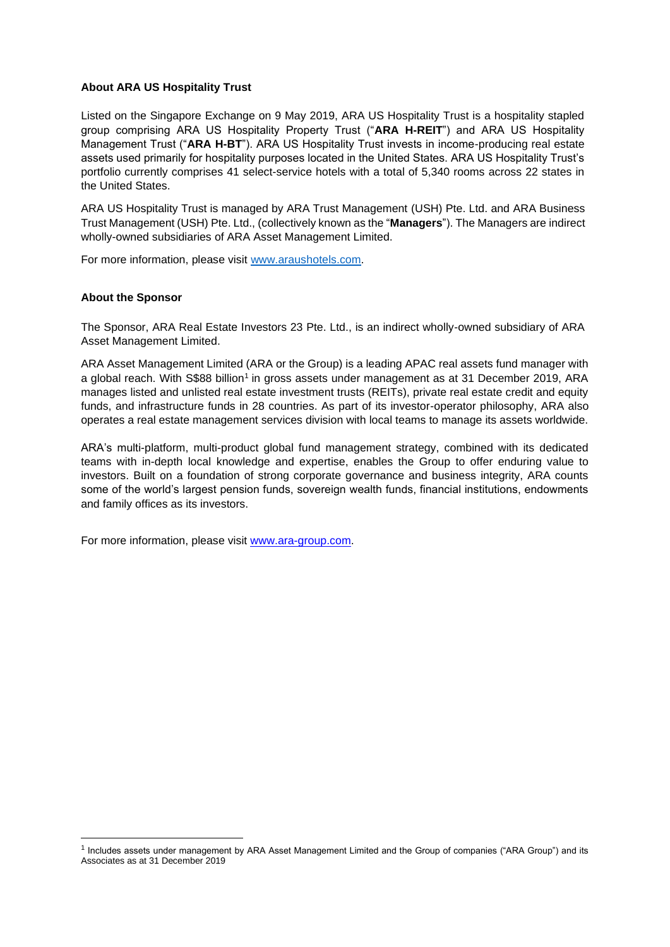#### **About ARA US Hospitality Trust**

Listed on the Singapore Exchange on 9 May 2019, ARA US Hospitality Trust is a hospitality stapled group comprising ARA US Hospitality Property Trust ("**ARA H-REIT**") and ARA US Hospitality Management Trust ("**ARA H-BT**"). ARA US Hospitality Trust invests in income-producing real estate assets used primarily for hospitality purposes located in the United States. ARA US Hospitality Trust's portfolio currently comprises 41 select-service hotels with a total of 5,340 rooms across 22 states in the United States.

ARA US Hospitality Trust is managed by ARA Trust Management (USH) Pte. Ltd. and ARA Business Trust Management (USH) Pte. Ltd., (collectively known as the "**Managers**"). The Managers are indirect wholly-owned subsidiaries of ARA Asset Management Limited.

For more information, please visit [www.araushotels.com.](http://www.araushotels.com/)

#### **About the Sponsor**

The Sponsor, ARA Real Estate Investors 23 Pte. Ltd., is an indirect wholly-owned subsidiary of ARA Asset Management Limited.

ARA Asset Management Limited (ARA or the Group) is a leading APAC real assets fund manager with a global reach. With S\$88 billion<sup>1</sup> in gross assets under management as at 31 December 2019, ARA manages listed and unlisted real estate investment trusts (REITs), private real estate credit and equity funds, and infrastructure funds in 28 countries. As part of its investor-operator philosophy, ARA also operates a real estate management services division with local teams to manage its assets worldwide.

ARA's multi-platform, multi-product global fund management strategy, combined with its dedicated teams with in-depth local knowledge and expertise, enables the Group to offer enduring value to investors. Built on a foundation of strong corporate governance and business integrity, ARA counts some of the world's largest pension funds, sovereign wealth funds, financial institutions, endowments and family offices as its investors.

For more information, please visit [www.ara-group.com.](http://www.ara-group.com/)

<sup>1</sup> Includes assets under management by ARA Asset Management Limited and the Group of companies ("ARA Group") and its Associates as at 31 December 2019